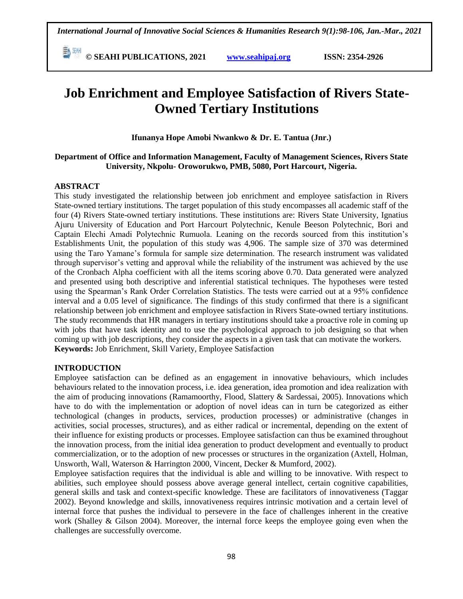**© SEAHI PUBLICATIONS, 2021 [www.seahipaj.org](http://www.seahipaj.org/) ISSN: 2354-2926** 

# **Job Enrichment and Employee Satisfaction of Rivers State-Owned Tertiary Institutions**

**Ifunanya Hope Amobi Nwankwo & Dr. E. Tantua (Jnr.)**

# **Department of Office and Information Management, Faculty of Management Sciences, Rivers State University, Nkpolu- Oroworukwo, PMB, 5080, Port Harcourt, Nigeria.**

# **ABSTRACT**

This study investigated the relationship between job enrichment and employee satisfaction in Rivers State-owned tertiary institutions. The target population of this study encompasses all academic staff of the four (4) Rivers State-owned tertiary institutions. These institutions are: Rivers State University, Ignatius Ajuru University of Education and Port Harcourt Polytechnic, Kenule Beeson Polytechnic, Bori and Captain Elechi Amadi Polytechnic Rumuola. Leaning on the records sourced from this institution's Establishments Unit, the population of this study was 4,906. The sample size of 370 was determined using the Taro Yamane's formula for sample size determination. The research instrument was validated through supervisor's vetting and approval while the reliability of the instrument was achieved by the use of the Cronbach Alpha coefficient with all the items scoring above 0.70. Data generated were analyzed and presented using both descriptive and inferential statistical techniques. The hypotheses were tested using the Spearman's Rank Order Correlation Statistics. The tests were carried out at a 95% confidence interval and a 0.05 level of significance. The findings of this study confirmed that there is a significant relationship between job enrichment and employee satisfaction in Rivers State-owned tertiary institutions. The study recommends that HR managers in tertiary institutions should take a proactive role in coming up with jobs that have task identity and to use the psychological approach to job designing so that when coming up with job descriptions, they consider the aspects in a given task that can motivate the workers. **Keywords:** Job Enrichment, Skill Variety, Employee Satisfaction

## **INTRODUCTION**

Employee satisfaction can be defined as an engagement in innovative behaviours, which includes behaviours related to the innovation process, i.e. idea generation, idea promotion and idea realization with the aim of producing innovations (Ramamoorthy, Flood, Slattery & Sardessai, 2005). Innovations which have to do with the implementation or adoption of novel ideas can in turn be categorized as either technological (changes in products, services, production processes) or administrative (changes in activities, social processes, structures), and as either radical or incremental, depending on the extent of their influence for existing products or processes. Employee satisfaction can thus be examined throughout the innovation process, from the initial idea generation to product development and eventually to product commercialization, or to the adoption of new processes or structures in the organization (Axtell, Holman, Unsworth, Wall, Waterson & Harrington 2000, Vincent, Decker & Mumford, 2002).

Employee satisfaction requires that the individual is able and willing to be innovative. With respect to abilities, such employee should possess above average general intellect, certain cognitive capabilities, general skills and task and context-specific knowledge. These are facilitators of innovativeness (Taggar 2002). Beyond knowledge and skills, innovativeness requires intrinsic motivation and a certain level of internal force that pushes the individual to persevere in the face of challenges inherent in the creative work (Shalley & Gilson 2004). Moreover, the internal force keeps the employee going even when the challenges are successfully overcome.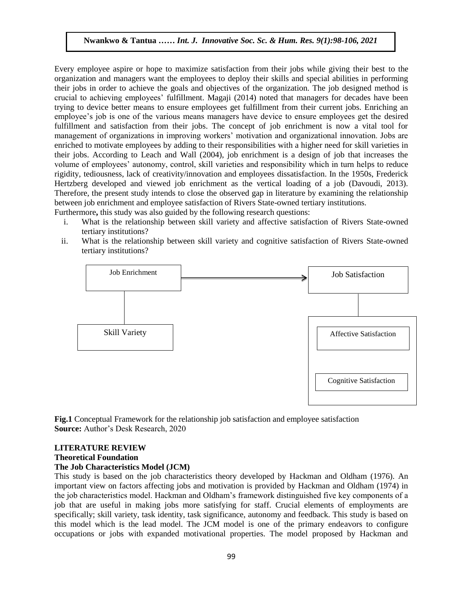Every employee aspire or hope to maximize satisfaction from their jobs while giving their best to the organization and managers want the employees to deploy their skills and special abilities in performing their jobs in order to achieve the goals and objectives of the organization. The job designed method is crucial to achieving employees' fulfillment. Magaji (2014) noted that managers for decades have been trying to device better means to ensure employees get fulfillment from their current jobs. Enriching an employee's job is one of the various means managers have device to ensure employees get the desired fulfillment and satisfaction from their jobs. The concept of job enrichment is now a vital tool for management of organizations in improving workers' motivation and organizational innovation. Jobs are enriched to motivate employees by adding to their responsibilities with a higher need for skill varieties in their jobs. According to Leach and Wall (2004), job enrichment is a design of job that increases the volume of employees' autonomy, control, skill varieties and responsibility which in turn helps to reduce rigidity, tediousness, lack of creativity/innovation and employees dissatisfaction. In the 1950s, Frederick Hertzberg developed and viewed job enrichment as the vertical loading of a job (Davoudi, 2013). Therefore, the present study intends to close the observed gap in literature by examining the relationship between job enrichment and employee satisfaction of Rivers State-owned tertiary institutions. Furthermore**,** this study was also guided by the following research questions:

- i. What is the relationship between skill variety and affective satisfaction of Rivers State-owned tertiary institutions?
- ii. What is the relationship between skill variety and cognitive satisfaction of Rivers State-owned tertiary institutions?



**Fig.1** Conceptual Framework for the relationship job satisfaction and employee satisfaction **Source:** Author's Desk Research, 2020

### **LITERATURE REVIEW**

### **Theoretical Foundation**

### **The Job Characteristics Model (JCM)**

This study is based on the job characteristics theory developed by Hackman and Oldham (1976). An important view on factors affecting jobs and motivation is provided by Hackman and Oldham (1974) in the job characteristics model. Hackman and Oldham's framework distinguished five key components of a job that are useful in making jobs more satisfying for staff. Crucial elements of employments are specifically; skill variety, task identity, task significance, autonomy and feedback. This study is based on this model which is the lead model. The JCM model is one of the primary endeavors to configure occupations or jobs with expanded motivational properties. The model proposed by Hackman and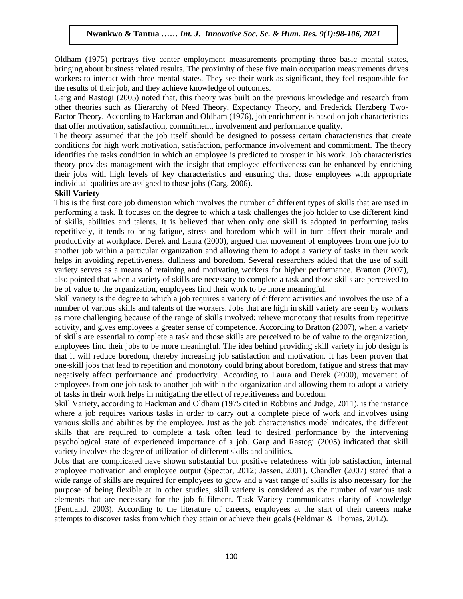Oldham (1975) portrays five center employment measurements prompting three basic mental states, bringing about business related results. The proximity of these five main occupation measurements drives workers to interact with three mental states. They see their work as significant, they feel responsible for the results of their job, and they achieve knowledge of outcomes.

Garg and Rastogi (2005) noted that, this theory was built on the previous knowledge and research from other theories such as Hierarchy of Need Theory, Expectancy Theory, and Frederick Herzberg Two-Factor Theory. According to Hackman and Oldham (1976), job enrichment is based on job characteristics that offer motivation, satisfaction, commitment, involvement and performance quality.

The theory assumed that the job itself should be designed to possess certain characteristics that create conditions for high work motivation, satisfaction, performance involvement and commitment. The theory identifies the tasks condition in which an employee is predicted to prosper in his work. Job characteristics theory provides management with the insight that employee effectiveness can be enhanced by enriching their jobs with high levels of key characteristics and ensuring that those employees with appropriate individual qualities are assigned to those jobs (Garg, 2006).

## **Skill Variety**

This is the first core job dimension which involves the number of different types of skills that are used in performing a task. It focuses on the degree to which a task challenges the job holder to use different kind of skills, abilities and talents. It is believed that when only one skill is adopted in performing tasks repetitively, it tends to bring fatigue, stress and boredom which will in turn affect their morale and productivity at workplace. Derek and Laura (2000), argued that movement of employees from one job to another job within a particular organization and allowing them to adopt a variety of tasks in their work helps in avoiding repetitiveness, dullness and boredom. Several researchers added that the use of skill variety serves as a means of retaining and motivating workers for higher performance. Bratton (2007), also pointed that when a variety of skills are necessary to complete a task and those skills are perceived to be of value to the organization, employees find their work to be more meaningful.

Skill variety is the degree to which a job requires a variety of different activities and involves the use of a number of various skills and talents of the workers. Jobs that are high in skill variety are seen by workers as more challenging because of the range of skills involved; relieve monotony that results from repetitive activity, and gives employees a greater sense of competence. According to Bratton (2007), when a variety of skills are essential to complete a task and those skills are perceived to be of value to the organization, employees find their jobs to be more meaningful. The idea behind providing skill variety in job design is that it will reduce boredom, thereby increasing job satisfaction and motivation. It has been proven that one-skill jobs that lead to repetition and monotony could bring about boredom, fatigue and stress that may negatively affect performance and productivity. According to Laura and Derek (2000), movement of employees from one job-task to another job within the organization and allowing them to adopt a variety of tasks in their work helps in mitigating the effect of repetitiveness and boredom.

Skill Variety, according to Hackman and Oldham (1975 cited in Robbins and Judge, 2011), is the instance where a job requires various tasks in order to carry out a complete piece of work and involves using various skills and abilities by the employee. Just as the job characteristics model indicates, the different skills that are required to complete a task often lead to desired performance by the intervening psychological state of experienced importance of a job. Garg and Rastogi (2005) indicated that skill variety involves the degree of utilization of different skills and abilities.

Jobs that are complicated have shown substantial but positive relatedness with job satisfaction, internal employee motivation and employee output (Spector, 2012; Jassen, 2001). Chandler (2007) stated that a wide range of skills are required for employees to grow and a vast range of skills is also necessary for the purpose of being flexible at In other studies, skill variety is considered as the number of various task elements that are necessary for the job fulfilment. Task Variety communicates clarity of knowledge (Pentland, 2003). According to the literature of careers, employees at the start of their careers make attempts to discover tasks from which they attain or achieve their goals (Feldman & Thomas, 2012).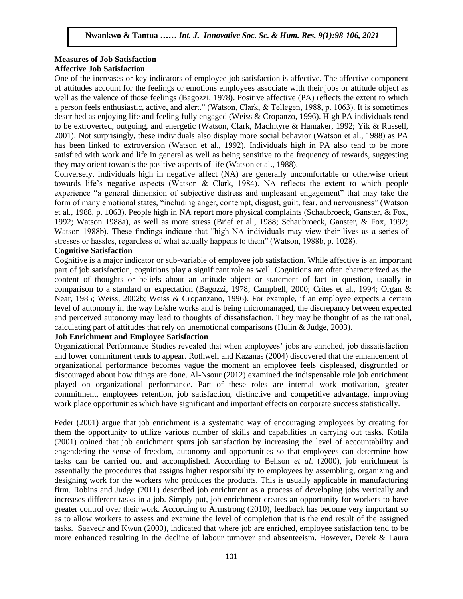# **Measures of Job Satisfaction Affective Job Satisfaction**

One of the increases or key indicators of employee job satisfaction is affective. The affective component of attitudes account for the feelings or emotions employees associate with their jobs or attitude object as well as the valence of those feelings (Bagozzi, 1978). Positive affective (PA) reflects the extent to which a person feels enthusiastic, active, and alert." (Watson, Clark, & Tellegen, 1988, p. 1063). It is sometimes described as enjoying life and feeling fully engaged (Weiss & Cropanzo, 1996). High PA individuals tend to be extroverted, outgoing, and energetic (Watson, Clark, MacIntyre & Hamaker, 1992; Yik & Russell, 2001). Not surprisingly, these individuals also display more social behavior (Watson et al., 1988) as PA has been linked to extroversion (Watson et al., 1992). Individuals high in PA also tend to be more satisfied with work and life in general as well as being sensitive to the frequency of rewards, suggesting they may orient towards the positive aspects of life (Watson et al., 1988).

Conversely, individuals high in negative affect (NA) are generally uncomfortable or otherwise orient towards life's negative aspects (Watson & Clark, 1984). NA reflects the extent to which people experience "a general dimension of subjective distress and unpleasant engagement" that may take the form of many emotional states, "including anger, contempt, disgust, guilt, fear, and nervousness" (Watson et al., 1988, p. 1063). People high in NA report more physical complaints (Schaubroeck, Ganster, & Fox, 1992; Watson 1988a), as well as more stress (Brief et al., 1988; Schaubroeck, Ganster, & Fox, 1992; Watson 1988b). These findings indicate that "high NA individuals may view their lives as a series of stresses or hassles, regardless of what actually happens to them" (Watson, 1988b, p. 1028).

# **Cognitive Satisfaction**

Cognitive is a major indicator or sub-variable of employee job satisfaction. While affective is an important part of job satisfaction, cognitions play a significant role as well. Cognitions are often characterized as the content of thoughts or beliefs about an attitude object or statement of fact in question, usually in comparison to a standard or expectation (Bagozzi, 1978; Campbell, 2000; Crites et al., 1994; Organ & Near, 1985; Weiss, 2002b; Weiss & Cropanzano, 1996). For example, if an employee expects a certain level of autonomy in the way he/she works and is being micromanaged, the discrepancy between expected and perceived autonomy may lead to thoughts of dissatisfaction. They may be thought of as the rational, calculating part of attitudes that rely on unemotional comparisons (Hulin & Judge, 2003).

# **Job Enrichment and Employee Satisfaction**

Organizational Performance Studies revealed that when employees' jobs are enriched, job dissatisfaction and lower commitment tends to appear. Rothwell and Kazanas (2004) discovered that the enhancement of organizational performance becomes vague the moment an employee feels displeased, disgruntled or discouraged about how things are done. Al-Nsour (2012) examined the indispensable role job enrichment played on organizational performance. Part of these roles are internal work motivation, greater commitment, employees retention, job satisfaction, distinctive and competitive advantage, improving work place opportunities which have significant and important effects on corporate success statistically.

Feder (2001) argue that job enrichment is a systematic way of encouraging employees by creating for them the opportunity to utilize various number of skills and capabilities in carrying out tasks. Kotila (2001) opined that job enrichment spurs job satisfaction by increasing the level of accountability and engendering the sense of freedom, autonomy and opportunities so that employees can determine how tasks can be carried out and accomplished. According to Behson *et al*. (2000), job enrichment is essentially the procedures that assigns higher responsibility to employees by assembling, organizing and designing work for the workers who produces the products. This is usually applicable in manufacturing firm. Robins and Judge (2011) described job enrichment as a process of developing jobs vertically and increases different tasks in a job. Simply put, job enrichment creates an opportunity for workers to have greater control over their work. According to Armstrong (2010), feedback has become very important so as to allow workers to assess and examine the level of completion that is the end result of the assigned tasks. Saavedr and Kwun (2000), indicated that where job are enriched, employee satisfaction tend to be more enhanced resulting in the decline of labour turnover and absenteeism. However, Derek & Laura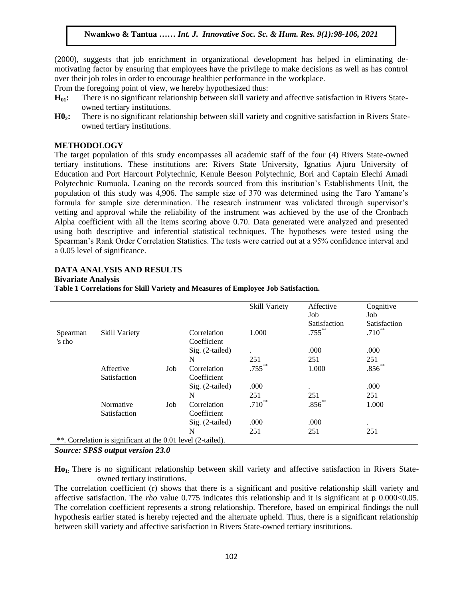(2000), suggests that job enrichment in organizational development has helped in eliminating demotivating factor by ensuring that employees have the privilege to make decisions as well as has control over their job roles in order to encourage healthier performance in the workplace.

From the foregoing point of view, we hereby hypothesized thus:

- **H<sub>01</sub>:** There is no significant relationship between skill variety and affective satisfaction in Rivers Stateowned tertiary institutions.
- **H02:** There is no significant relationship between skill variety and cognitive satisfaction in Rivers Stateowned tertiary institutions.

### **METHODOLOGY**

The target population of this study encompasses all academic staff of the four (4) Rivers State-owned tertiary institutions. These institutions are: Rivers State University, Ignatius Ajuru University of Education and Port Harcourt Polytechnic, Kenule Beeson Polytechnic, Bori and Captain Elechi Amadi Polytechnic Rumuola. Leaning on the records sourced from this institution's Establishments Unit, the population of this study was 4,906. The sample size of 370 was determined using the Taro Yamane's formula for sample size determination. The research instrument was validated through supervisor's vetting and approval while the reliability of the instrument was achieved by the use of the Cronbach Alpha coefficient with all the items scoring above 0.70. Data generated were analyzed and presented using both descriptive and inferential statistical techniques. The hypotheses were tested using the Spearman's Rank Order Correlation Statistics. The tests were carried out at a 95% confidence interval and a 0.05 level of significance.

## **DATA ANALYSIS AND RESULTS**

#### **Bivariate Analysis**

**Table 1 Correlations for Skill Variety and Measures of Employee Job Satisfaction.**

|                                                              |               |     |                   | Skill Variety        | Affective            | Cognitive    |
|--------------------------------------------------------------|---------------|-----|-------------------|----------------------|----------------------|--------------|
|                                                              |               |     |                   |                      | Job                  | Job          |
|                                                              |               |     |                   |                      | Satisfaction         | Satisfaction |
| Spearman                                                     | Skill Variety |     | Correlation       | 1.000                | $.755$ <sup>**</sup> | $.710^{**}$  |
| 's rho                                                       |               |     | Coefficient       |                      |                      |              |
|                                                              |               |     | $Sig. (2-tailed)$ | $\ddot{\phantom{a}}$ | .000                 | .000         |
|                                                              |               |     | N                 | 251                  | 251                  | 251          |
|                                                              | Affective     | Job | Correlation       | $.755***$            | 1.000                | $.856**$     |
|                                                              | Satisfaction  |     | Coefficient       |                      |                      |              |
|                                                              |               |     | $Sig. (2-tailed)$ | .000                 | ٠                    | .000         |
|                                                              |               |     | N                 | 251                  | 251                  | 251          |
|                                                              | Normative     | Job | Correlation       | $.710**$             | $.856***$            | 1.000        |
|                                                              | Satisfaction  |     | Coefficient       |                      |                      |              |
|                                                              |               |     | Sig. (2-tailed)   | .000                 | .000                 | $\bullet$    |
|                                                              |               |     | N                 | 251                  | 251                  | 251          |
| **. Correlation is significant at the 0.01 level (2-tailed). |               |     |                   |                      |                      |              |
|                                                              |               |     |                   |                      |                      |              |

*Source: SPSS output version 23.0*

**Ho1**: There is no significant relationship between skill variety and affective satisfaction in Rivers Stateowned tertiary institutions.

The correlation coefficient (r) shows that there is a significant and positive relationship skill variety and affective satisfaction. The *rho* value 0.775 indicates this relationship and it is significant at p 0.000<0.05. The correlation coefficient represents a strong relationship. Therefore, based on empirical findings the null hypothesis earlier stated is hereby rejected and the alternate upheld. Thus, there is a significant relationship between skill variety and affective satisfaction in Rivers State-owned tertiary institutions.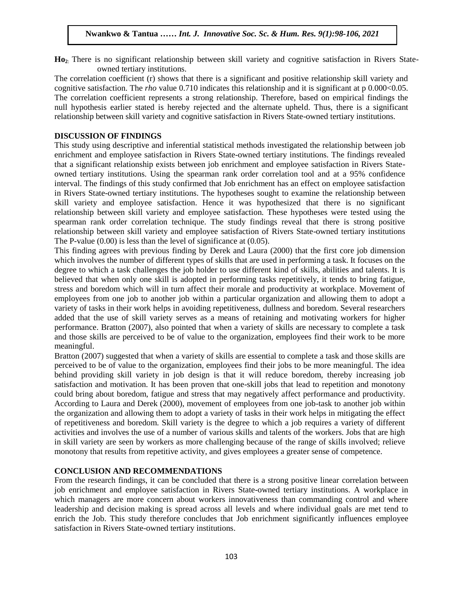**Ho2**: There is no significant relationship between skill variety and cognitive satisfaction in Rivers Stateowned tertiary institutions.

The correlation coefficient (r) shows that there is a significant and positive relationship skill variety and cognitive satisfaction. The *rho* value 0.710 indicates this relationship and it is significant at p 0.000<0.05. The correlation coefficient represents a strong relationship. Therefore, based on empirical findings the null hypothesis earlier stated is hereby rejected and the alternate upheld. Thus, there is a significant relationship between skill variety and cognitive satisfaction in Rivers State-owned tertiary institutions.

## **DISCUSSION OF FINDINGS**

This study using descriptive and inferential statistical methods investigated the relationship between job enrichment and employee satisfaction in Rivers State-owned tertiary institutions. The findings revealed that a significant relationship exists between job enrichment and employee satisfaction in Rivers Stateowned tertiary institutions. Using the spearman rank order correlation tool and at a 95% confidence interval. The findings of this study confirmed that Job enrichment has an effect on employee satisfaction in Rivers State-owned tertiary institutions. The hypotheses sought to examine the relationship between skill variety and employee satisfaction. Hence it was hypothesized that there is no significant relationship between skill variety and employee satisfaction. These hypotheses were tested using the spearman rank order correlation technique. The study findings reveal that there is strong positive relationship between skill variety and employee satisfaction of Rivers State-owned tertiary institutions The P-value  $(0.00)$  is less than the level of significance at  $(0.05)$ .

This finding agrees with previous finding by Derek and Laura (2000) that the first core job dimension which involves the number of different types of skills that are used in performing a task. It focuses on the degree to which a task challenges the job holder to use different kind of skills, abilities and talents. It is believed that when only one skill is adopted in performing tasks repetitively, it tends to bring fatigue, stress and boredom which will in turn affect their morale and productivity at workplace. Movement of employees from one job to another job within a particular organization and allowing them to adopt a variety of tasks in their work helps in avoiding repetitiveness, dullness and boredom. Several researchers added that the use of skill variety serves as a means of retaining and motivating workers for higher performance. Bratton (2007), also pointed that when a variety of skills are necessary to complete a task and those skills are perceived to be of value to the organization, employees find their work to be more meaningful.

Bratton (2007) suggested that when a variety of skills are essential to complete a task and those skills are perceived to be of value to the organization, employees find their jobs to be more meaningful. The idea behind providing skill variety in job design is that it will reduce boredom, thereby increasing job satisfaction and motivation. It has been proven that one-skill jobs that lead to repetition and monotony could bring about boredom, fatigue and stress that may negatively affect performance and productivity. According to Laura and Derek (2000), movement of employees from one job-task to another job within the organization and allowing them to adopt a variety of tasks in their work helps in mitigating the effect of repetitiveness and boredom. Skill variety is the degree to which a job requires a variety of different activities and involves the use of a number of various skills and talents of the workers. Jobs that are high in skill variety are seen by workers as more challenging because of the range of skills involved; relieve monotony that results from repetitive activity, and gives employees a greater sense of competence.

## **CONCLUSION AND RECOMMENDATIONS**

From the research findings, it can be concluded that there is a strong positive linear correlation between job enrichment and employee satisfaction in Rivers State-owned tertiary institutions. A workplace in which managers are more concern about workers innovativeness than commanding control and where leadership and decision making is spread across all levels and where individual goals are met tend to enrich the Job. This study therefore concludes that Job enrichment significantly influences employee satisfaction in Rivers State-owned tertiary institutions.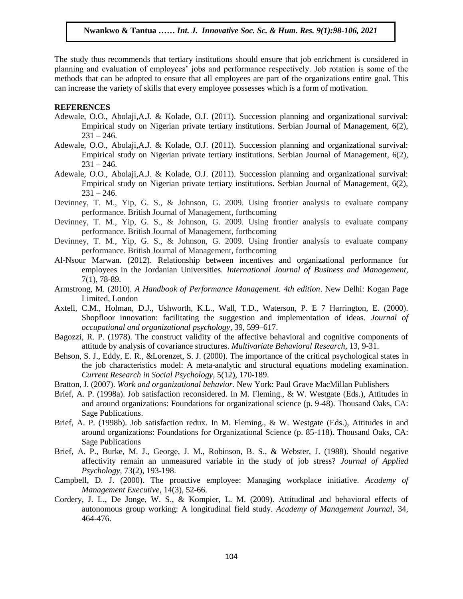The study thus recommends that tertiary institutions should ensure that job enrichment is considered in planning and evaluation of employees' jobs and performance respectively. Job rotation is some of the methods that can be adopted to ensure that all employees are part of the organizations entire goal. This can increase the variety of skills that every employee possesses which is a form of motivation.

### **REFERENCES**

- Adewale, O.O., Abolaji,A.J. & Kolade, O.J. (2011). Succession planning and organizational survival: Empirical study on Nigerian private tertiary institutions. Serbian Journal of Management, 6(2),  $231 - 246.$
- Adewale, O.O., Abolaji,A.J. & Kolade, O.J. (2011). Succession planning and organizational survival: Empirical study on Nigerian private tertiary institutions. Serbian Journal of Management, 6(2),  $231 - 246.$
- Adewale, O.O., Abolaji,A.J. & Kolade, O.J. (2011). Succession planning and organizational survival: Empirical study on Nigerian private tertiary institutions. Serbian Journal of Management, 6(2),  $231 - 246.$
- Devinney, T. M., Yip, G. S., & Johnson, G. 2009. Using frontier analysis to evaluate company performance. British Journal of Management, forthcoming
- Devinney, T. M., Yip, G. S., & Johnson, G. 2009. Using frontier analysis to evaluate company performance. British Journal of Management, forthcoming
- Devinney, T. M., Yip, G. S., & Johnson, G. 2009. Using frontier analysis to evaluate company performance. British Journal of Management, forthcoming
- Al-Nsour Marwan. (2012). Relationship between incentives and organizational performance for employees in the Jordanian Universities*. International Journal of Business and Management,* 7(1), 78-89.
- Armstrong, M. (2010). *A Handbook of Performance Management. 4th edition*. New Delhi: Kogan Page Limited, London
- Axtell, C.M., Holman, D.J., Ushworth, K.L., Wall, T.D., Waterson, P. E 7 Harrington, E. (2000). Shopfloor innovation: facilitating the suggestion and implementation of ideas. *Journal of occupational and organizational psychology*, 39, 599–617.
- Bagozzi, R. P. (1978). The construct validity of the affective behavioral and cognitive components of attitude by analysis of covariance structures. *Multivariate Behavioral Research,* 13, 9-31.
- Behson, S. J., Eddy, E. R., &Lorenzet, S. J. (2000). The importance of the critical psychological states in the job characteristics model: A meta-analytic and structural equations modeling examination. *Current Research in Social Psychology,* 5(12), 170-189.
- Bratton, J. (2007). *Work and organizational behavior.* New York: Paul Grave MacMillan Publishers
- Brief, A. P. (1998a). Job satisfaction reconsidered. In M. Fleming., & W. Westgate (Eds.), Attitudes in and around organizations: Foundations for organizational science (p. 9-48). Thousand Oaks, CA: Sage Publications.
- Brief, A. P. (1998b). Job satisfaction redux. In M. Fleming., & W. Westgate (Eds.), Attitudes in and around organizations: Foundations for Organizational Science (p. 85-118). Thousand Oaks, CA: Sage Publications
- Brief, A. P., Burke, M. J., George, J. M., Robinson, B. S., & Webster, J. (1988). Should negative affectivity remain an unmeasured variable in the study of job stress? *Journal of Applied Psychology,* 73(2), 193-198.
- Campbell, D. J. (2000). The proactive employee: Managing workplace initiative. *Academy of Management Executive,* 14(3), 52-66.
- Cordery, J. L., De Jonge, W. S., & Kompier, L. M. (2009). Attitudinal and behavioral effects of autonomous group working: A longitudinal field study. *Academy of Management Journal*, 34, 464-476.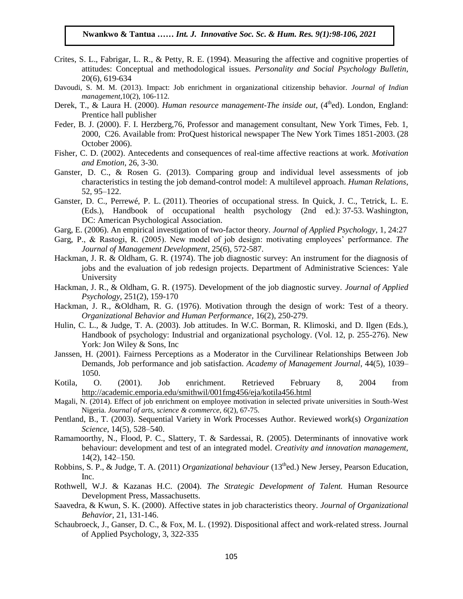- Crites, S. L., Fabrigar, L. R., & Petty, R. E. (1994). Measuring the affective and cognitive properties of attitudes: Conceptual and methodological issues. *Personality and Social Psychology Bulletin*, 20(6), 619-634
- Davoudi, S. M. M. (2013). Impact: Job enrichment in organizational citizenship behavior. *Journal of Indian management,*10(2), 106-112.
- Derek, T., & Laura H. (2000). *Human resource management-The inside out*, (4<sup>th</sup>ed). London, England: Prentice hall publisher
- Feder, B. J. (2000). F. I. Herzberg,76, Professor and management consultant, New York Times, Feb. 1, 2000, C26. Available from: ProQuest historical newspaper The New York Times 1851-2003. (28 October 2006).
- Fisher, C. D. (2002). Antecedents and consequences of real-time affective reactions at work. *Motivation and Emotion*, 26, 3-30.
- Ganster, D. C., & Rosen G. (2013). Comparing group and individual level assessments of job characteristics in testing the job demand-control model: A multilevel approach. *Human Relations*, 52, 95–122.
- Ganster, D. C., Perrewé, P. L. (2011). Theories of occupational stress. In Quick, J. C., Tetrick, L. E. (Eds.), Handbook of occupational health psychology (2nd ed.): 37-53. Washington, DC: American Psychological Association.
- Garg, E. (2006). An empirical investigation of two-factor theory. *Journal of Applied Psychology*, 1, 24:27
- Garg, P., & Rastogi, R. (2005). New model of job design: motivating employees' performance. *The Journal of Management Development*, 25(6), 572-587.
- Hackman, J. R. & Oldham, G. R. (1974). The job diagnostic survey: An instrument for the diagnosis of jobs and the evaluation of job redesign projects. Department of Administrative Sciences: Yale University
- Hackman, J. R., & Oldham, G. R. (1975). Development of the job diagnostic survey. *Journal of Applied Psychology*, 251(2), 159-170
- Hackman, J. R., &Oldham, R. G. (1976). Motivation through the design of work: Test of a theory. *Organizational Behavior and Human Performance,* 16(2), 250-279.
- Hulin, C. L., & Judge, T. A. (2003). Job attitudes. In W.C. Borman, R. Klimoski, and D. Ilgen (Eds.), Handbook of psychology: Industrial and organizational psychology. (Vol. 12, p. 255-276). New York: Jon Wiley & Sons, Inc
- Janssen, H. (2001). Fairness Perceptions as a Moderator in the Curvilinear Relationships Between Job Demands, Job performance and job satisfaction. *Academy of Management Journal*, 44(5), 1039– 1050.
- Kotila, O. (2001). Job enrichment. Retrieved February 8, 2004 from <http://academic.emporia.edu/smithwil/001fmg456/eja/kotila456.html>
- Magali, N. (2014). Effect of job enrichment on employee motivation in selected private universities in South-West Nigeria. *Journal of arts, science & commerce, 6*(2), 67-75.
- Pentland, B., T. (2003). Sequential Variety in Work Processes Author. Reviewed work(s) *Organization Science*, 14(5), 528–540.
- Ramamoorthy, N., Flood, P. C., Slattery, T. & Sardessai, R. (2005). Determinants of innovative work behaviour: development and test of an integrated model. *Creativity and innovation management,* 14(2), 142–150.
- Robbins, S. P., & Judge, T. A. (2011) *Organizational behaviour* (13<sup>th</sup>ed.) New Jersey, Pearson Education, Inc.
- Rothwell, W.J. & Kazanas H.C. (2004). *The Strategic Development of Talent.* Human Resource Development Press, Massachusetts.
- Saavedra, & Kwun, S. K. (2000). Affective states in job characteristics theory. *Journal of Organizational Behavior*, 21, 131-146.
- Schaubroeck, J., Ganser, D. C., & Fox, M. L. (1992). Dispositional affect and work-related stress. Journal of Applied Psychology, 3, 322-335